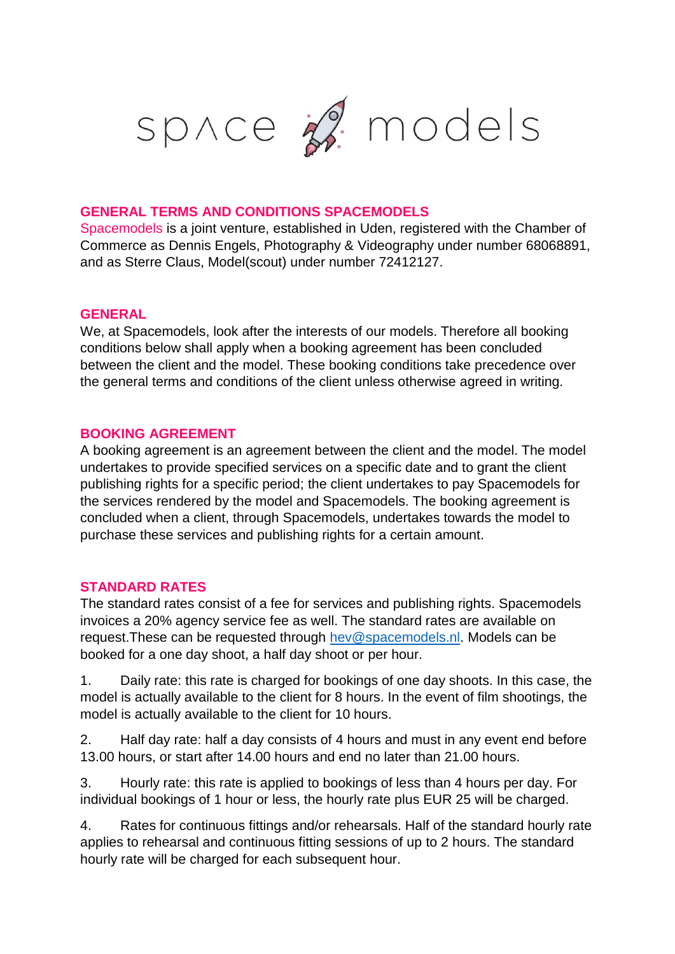

## **GENERAL TERMS AND CONDITIONS SPACEMODELS**

Spacemodels is a joint venture, established in Uden, registered with the Chamber of Commerce as Dennis Engels, Photography & Videography under number 68068891, and as Sterre Claus, Model(scout) under number 72412127.

### **GENERAL**

We, at Spacemodels, look after the interests of our models. Therefore all booking conditions below shall apply when a booking agreement has been concluded between the client and the model. These booking conditions take precedence over the general terms and conditions of the client unless otherwise agreed in writing.

### **BOOKING AGREEMENT**

A booking agreement is an agreement between the client and the model. The model undertakes to provide specified services on a specific date and to grant the client publishing rights for a specific period; the client undertakes to pay Spacemodels for the services rendered by the model and Spacemodels. The booking agreement is concluded when a client, through Spacemodels, undertakes towards the model to purchase these services and publishing rights for a certain amount.

### **STANDARD RATES**

The standard rates consist of a fee for services and publishing rights. Spacemodels invoices a 20% agency service fee as well. The standard rates are available on request.These can be requested through [hev@spacemodels.nl.](mailto:hev@spacemodels.nl) Models can be booked for a one day shoot, a half day shoot or per hour.

1. Daily rate: this rate is charged for bookings of one day shoots. In this case, the model is actually available to the client for 8 hours. In the event of film shootings, the model is actually available to the client for 10 hours.

2. Half day rate: half a day consists of 4 hours and must in any event end before 13.00 hours, or start after 14.00 hours and end no later than 21.00 hours.

3. Hourly rate: this rate is applied to bookings of less than 4 hours per day. For individual bookings of 1 hour or less, the hourly rate plus EUR 25 will be charged.

4. Rates for continuous fittings and/or rehearsals. Half of the standard hourly rate applies to rehearsal and continuous fitting sessions of up to 2 hours. The standard hourly rate will be charged for each subsequent hour.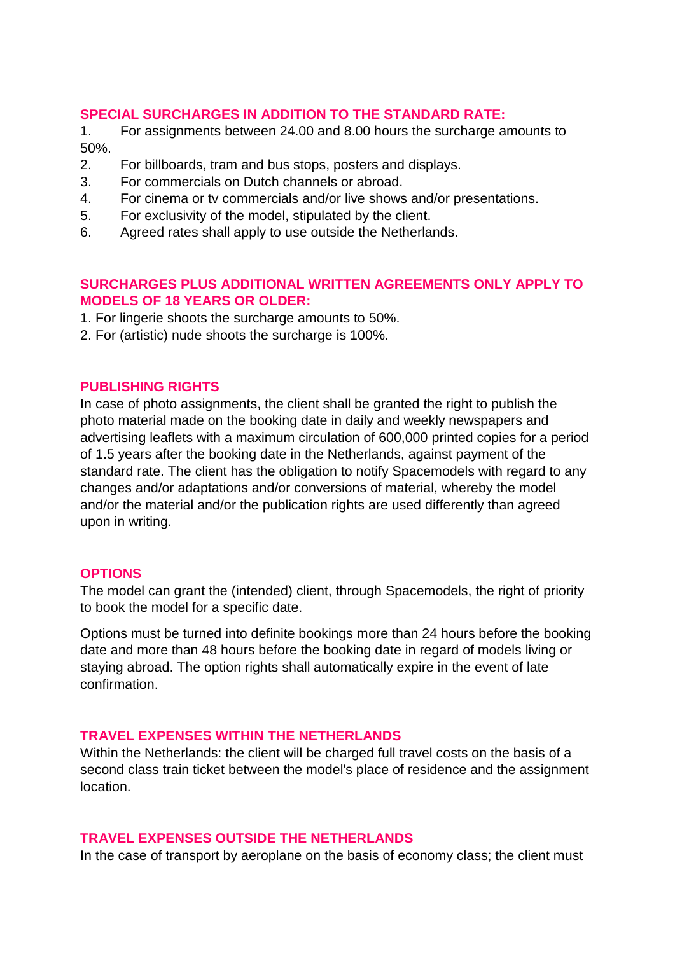# **SPECIAL SURCHARGES IN ADDITION TO THE STANDARD RATE:**

1. For assignments between 24.00 and 8.00 hours the surcharge amounts to 50%.

- 2. For billboards, tram and bus stops, posters and displays.
- 3. For commercials on Dutch channels or abroad.
- 4. For cinema or tv commercials and/or live shows and/or presentations.
- 5. For exclusivity of the model, stipulated by the client.
- 6. Agreed rates shall apply to use outside the Netherlands.

# **SURCHARGES PLUS ADDITIONAL WRITTEN AGREEMENTS ONLY APPLY TO MODELS OF 18 YEARS OR OLDER:**

- 1. For lingerie shoots the surcharge amounts to 50%.
- 2. For (artistic) nude shoots the surcharge is 100%.

#### **PUBLISHING RIGHTS**

In case of photo assignments, the client shall be granted the right to publish the photo material made on the booking date in daily and weekly newspapers and advertising leaflets with a maximum circulation of 600,000 printed copies for a period of 1.5 years after the booking date in the Netherlands, against payment of the standard rate. The client has the obligation to notify Spacemodels with regard to any changes and/or adaptations and/or conversions of material, whereby the model and/or the material and/or the publication rights are used differently than agreed upon in writing.

#### **OPTIONS**

The model can grant the (intended) client, through Spacemodels, the right of priority to book the model for a specific date.

Options must be turned into definite bookings more than 24 hours before the booking date and more than 48 hours before the booking date in regard of models living or staying abroad. The option rights shall automatically expire in the event of late confirmation.

#### **TRAVEL EXPENSES WITHIN THE NETHERLANDS**

Within the Netherlands: the client will be charged full travel costs on the basis of a second class train ticket between the model's place of residence and the assignment location.

### **TRAVEL EXPENSES OUTSIDE THE NETHERLANDS**

In the case of transport by aeroplane on the basis of economy class; the client must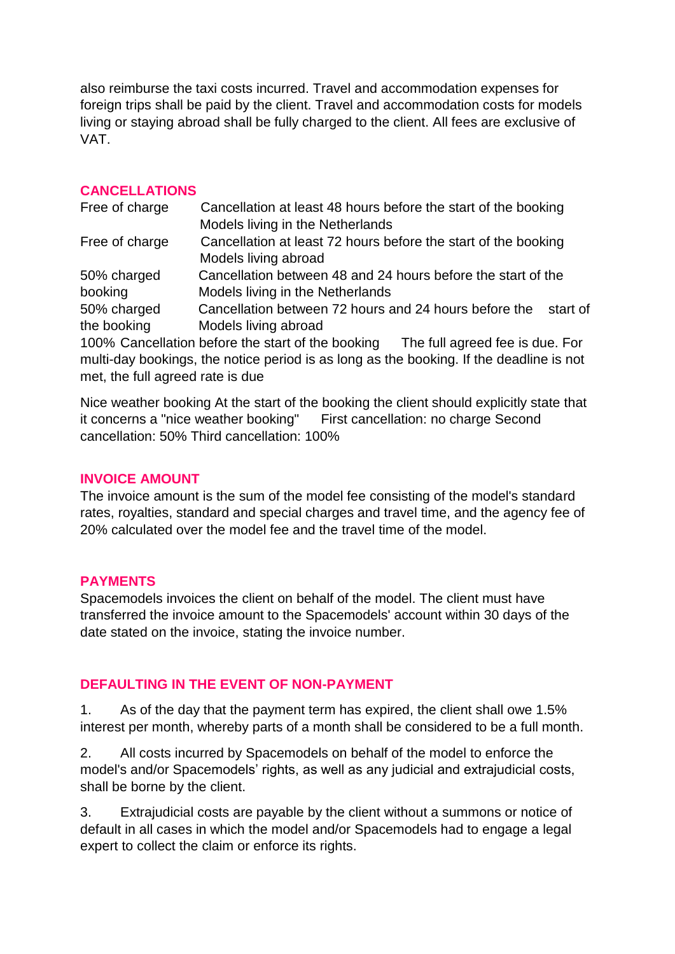also reimburse the taxi costs incurred. Travel and accommodation expenses for foreign trips shall be paid by the client. Travel and accommodation costs for models living or staying abroad shall be fully charged to the client. All fees are exclusive of VAT.

## **CANCELLATIONS**

| Free of charge | Cancellation at least 48 hours before the start of the booking                       |
|----------------|--------------------------------------------------------------------------------------|
|                | Models living in the Netherlands                                                     |
| Free of charge | Cancellation at least 72 hours before the start of the booking                       |
|                | Models living abroad                                                                 |
| 50% charged    | Cancellation between 48 and 24 hours before the start of the                         |
| booking        | Models living in the Netherlands                                                     |
| 50% charged    | Cancellation between 72 hours and 24 hours before the<br>start of                    |
| the booking    | Models living abroad                                                                 |
|                | 100% Cancellation before the start of the booking<br>The full agreed fee is due. For |

multi-day bookings, the notice period is as long as the booking. If the deadline is not met, the full agreed rate is due

Nice weather booking At the start of the booking the client should explicitly state that it concerns a "nice weather booking" First cancellation: no charge Second cancellation: 50% Third cancellation: 100%

### **INVOICE AMOUNT**

The invoice amount is the sum of the model fee consisting of the model's standard rates, royalties, standard and special charges and travel time, and the agency fee of 20% calculated over the model fee and the travel time of the model.

# **PAYMENTS**

Spacemodels invoices the client on behalf of the model. The client must have transferred the invoice amount to the Spacemodels' account within 30 days of the date stated on the invoice, stating the invoice number.

# **DEFAULTING IN THE EVENT OF NON-PAYMENT**

1. As of the day that the payment term has expired, the client shall owe 1.5% interest per month, whereby parts of a month shall be considered to be a full month.

2. All costs incurred by Spacemodels on behalf of the model to enforce the model's and/or Spacemodels' rights, as well as any judicial and extrajudicial costs, shall be borne by the client.

3. Extrajudicial costs are payable by the client without a summons or notice of default in all cases in which the model and/or Spacemodels had to engage a legal expert to collect the claim or enforce its rights.